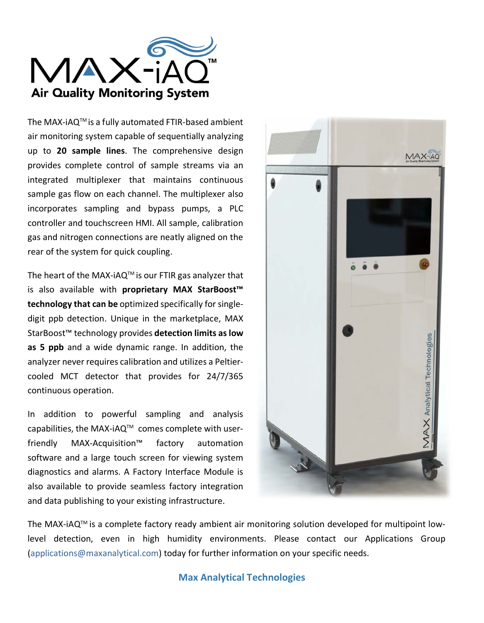

The MAX-iAQTM is a fully automated FTIR-based ambient air monitoring system capable of sequentially analyzing up to **20 sample lines**. The comprehensive design provides complete control of sample streams via an integrated multiplexer that maintains continuous sample gas flow on each channel. The multiplexer also incorporates sampling and bypass pumps, a PLC controller and touchscreen HMI. All sample, calibration gas and nitrogen connections are neatly aligned on the rear of the system for quick coupling.

The heart of the MAX-iAQ<sup>TM</sup> is our FTIR gas analyzer that is also available with **proprietary MAX StarBoost™ technology that can be** optimized specifically for singledigit ppb detection. Unique in the marketplace, MAX StarBoost™ technology provides **detection limits as low as 5 ppb** and a wide dynamic range. In addition, the analyzer never requires calibration and utilizes a Peltiercooled MCT detector that provides for 24/7/365 continuous operation.

In addition to powerful sampling and analysis capabilities, the MAX-iAQ<sup>™</sup> comes complete with userfriendly MAX-Acquisition™ factory automation software and a large touch screen for viewing system diagnostics and alarms. A Factory Interface Module is also available to provide seamless factory integration and data publishing to your existing infrastructure.



The MAX-iAQ<sup>™</sup> is a complete factory ready ambient air monitoring solution developed for multipoint lowlevel detection, even in high humidity environments. Please contact our Applications Group (applications@maxanalytical.com) today for further information on your specific needs.

**Max Analytical Technologies**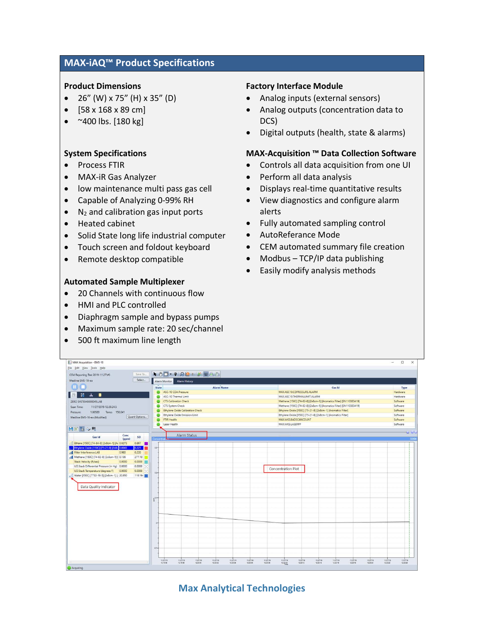# **MAX-iAQ™ Product Specifications**

### **Product Dimensions**

- 26" (W) x 75" (H) x 35" (D)
- [58 x 168 x 89 cm]
- $~\sim$ 400 lbs. [180 kg]

## **System Specifications**

- Process FTIR
- MAX-iR Gas Analyzer
- low maintenance multi pass gas cell
- Capable of Analyzing 0-99% RH
- $\bullet$  N<sub>2</sub> and calibration gas input ports
- Heated cabinet
- Solid State long life industrial computer
- Touch screen and foldout keyboard
- Remote desktop compatible

#### **Automated Sample Multiplexer**

- 20 Channels with continuous flow
- HMI and PLC controlled
- Diaphragm sample and bypass pumps
- Maximum sample rate: 20 sec/channel
- 500 ft maximum line length

#### **Factory Interface Module**

- Analog inputs (external sensors)
- Analog outputs (concentration data to DCS)
- Digital outputs (health, state & alarms)

## **MAX-Acquisition ™ Data Collection Software**

- Controls all data acquisition from one UI
- Perform all data analysis
- Displays real-time quantitative results
- View diagnostics and configure alarm alerts
- Fully automated sampling control
- AutoReferance Mode
- CEM automated summary file creation
- Modbus TCP/IP data publishing
- Easily modify analysis methods

| <b>T</b> MAX Acquisition - EMS-10                       |                                                                      |                                                                                  | $\Box$<br>$\times$<br>$\overline{\phantom{0}}$ |
|---------------------------------------------------------|----------------------------------------------------------------------|----------------------------------------------------------------------------------|------------------------------------------------|
| File Edit View Tools Help                               |                                                                      |                                                                                  |                                                |
| Save To.<br>CEM Reporting Test 2019-11\27\#3            | AO - 9 Q - 8 D AA                                                    |                                                                                  |                                                |
| Select<br>Medline EMS-10-eo                             | Alarm Monitor Alarm History                                          |                                                                                  |                                                |
| $\blacksquare$                                          | <b>Alarm Name</b><br><b>State</b>                                    | Gas Id                                                                           | Type                                           |
|                                                         | ASC-10 CDA Pressure<br>-                                             | MAX.ASC10.CDPRESSURE.ALARM                                                       | Hardware                                       |
| $\mathbf{z}$<br>工目                                      | ASC-10 Thermal Limit                                                 | MAX.ASC10.THERMALLIMIT.ALARM                                                     | Hardware                                       |
| ZERO SYSTEM0000045.LAB                                  | <b>CTS Calibration Check</b>                                         | Methane [150C] [74-82-8] [2x8cm-1] [Aromatics Filter] [SN110383419]              | Software                                       |
| Scan Time:<br>11/27/2019 12:20:24.5                     | CTS System Check                                                     | Methane [150C] [74-82-8] [2x8cm-1] [Aromatics Filter] [SN110383419]              | Software                                       |
| 1,00589<br>Temp: 150.041<br>Pressure:                   | <b>Ethylene Oxide Calibration Check</b>                              | Ethylene Oxide [150C] [75-21-8] [2x8cm-1] [Aromatics Filter]                     | Software                                       |
| Quant Options<br>Medline EMS-10-eo (Modified)           | Ethylene Oxide Emission Limit                                        | Ethylene Oxide [150C] [75-21-8] [2x8cm-1] [Aromatics Filter]                     | Software                                       |
|                                                         | FTIR Health                                                          | MAX.MKS.BADSCANCOUNT                                                             | Software                                       |
|                                                         | Laser Health                                                         | MAX.MKS.LASERPP                                                                  | Software                                       |
| 日因百分限                                                   |                                                                      |                                                                                  | $\mathbf{J} = \mathbf{C}$                      |
| Conc<br>Gas Id<br>SD<br>(ppm)                           | Alarm Status<br>Concentrati                                          |                                                                                  |                                                |
| Ethane [150C] [74-84-0] [2x8cm-1] [Ai 0.0273]<br>0.867  |                                                                      |                                                                                  |                                                |
| Ethylene Oxide [150C] [75-21-8] [2x8c 0.0043<br>0.225   | $0.3 -$                                                              |                                                                                  |                                                |
| Il Filter Interference.LAB<br>0.980<br>0.220            |                                                                      |                                                                                  |                                                |
| Methane [150C] [74-82-8] [2x8cm-1]   0.136<br>277.10    |                                                                      |                                                                                  |                                                |
| Stack Velocity (ft/sec)<br>0.0000<br>0.0000             |                                                                      |                                                                                  |                                                |
| UD.Stack Differential Pressure (in Hg) 0.0000<br>0.0000 |                                                                      | Concentration Plot                                                               |                                                |
| UD.Stack Temperature (degrees F)<br>0.0000<br>0.0000    | $02 -$                                                               |                                                                                  |                                                |
| Water [150C] [7732-18-5] [2x8cm-1] [, 20.950<br>110.164 |                                                                      |                                                                                  |                                                |
|                                                         |                                                                      |                                                                                  |                                                |
| Data Quality Indicator                                  |                                                                      |                                                                                  |                                                |
|                                                         |                                                                      |                                                                                  |                                                |
|                                                         | 601                                                                  |                                                                                  |                                                |
|                                                         |                                                                      |                                                                                  |                                                |
|                                                         |                                                                      |                                                                                  |                                                |
|                                                         |                                                                      |                                                                                  |                                                |
|                                                         |                                                                      |                                                                                  |                                                |
|                                                         |                                                                      |                                                                                  |                                                |
|                                                         |                                                                      |                                                                                  |                                                |
|                                                         |                                                                      |                                                                                  |                                                |
|                                                         |                                                                      |                                                                                  |                                                |
|                                                         |                                                                      |                                                                                  |                                                |
|                                                         | $-0.1$                                                               |                                                                                  |                                                |
|                                                         |                                                                      |                                                                                  |                                                |
|                                                         | 11/27/19<br>11/27/19<br>11/27/19<br>11/27/19<br>11/27/29<br>11/27/79 | 11/27/79<br>11/27/19<br>11/27/19<br>11/27/19<br>11/27/19<br>11/27/19<br>11/27/19 | 11/27/19<br>11/27/19                           |
|                                                         | 1219.56<br>1219.58<br>12:20:00<br>12:20:02<br>12:20:04<br>12:20:06   | 12:20:08<br>12:30:10<br>12:00:12<br>12:20:14<br>12:33:16<br>12:20:18<br>12:00:00 | 12:20:22<br>12:20:24                           |

# **Max Analytical Technologies**